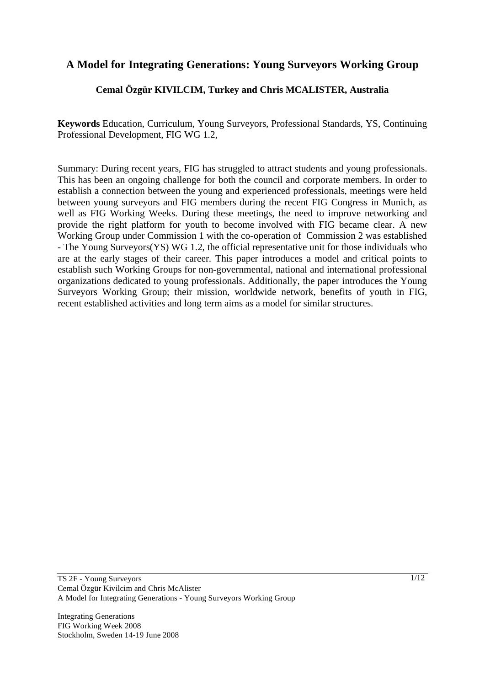# **A Model for Integrating Generations: Young Surveyors Working Group**

## **Cemal Özgür KIVILCIM, Turkey and Chris MCALISTER, Australia**

**Keywords** Education, Curriculum, Young Surveyors, Professional Standards, YS, Continuing Professional Development, FIG WG 1.2,

Summary: During recent years, FIG has struggled to attract students and young professionals. This has been an ongoing challenge for both the council and corporate members. In order to establish a connection between the young and experienced professionals, meetings were held between young surveyors and FIG members during the recent FIG Congress in Munich, as well as FIG Working Weeks. During these meetings, the need to improve networking and provide the right platform for youth to become involved with FIG became clear. A new Working Group under Commission 1 with the co-operation of Commission 2 was established - The Young Surveyors(YS) WG 1.2, the official representative unit for those individuals who are at the early stages of their career. This paper introduces a model and critical points to establish such Working Groups for non-governmental, national and international professional organizations dedicated to young professionals. Additionally, the paper introduces the Young Surveyors Working Group; their mission, worldwide network, benefits of youth in FIG, recent established activities and long term aims as a model for similar structures.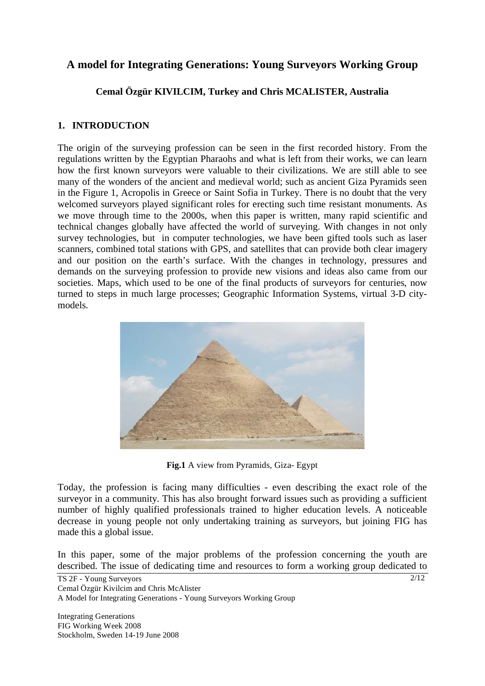# **A model for Integrating Generations: Young Surveyors Working Group**

# **Cemal Özgür KIVILCIM, Turkey and Chris MCALISTER, Australia**

### **1. INTRODUCTıON**

The origin of the surveying profession can be seen in the first recorded history. From the regulations written by the Egyptian Pharaohs and what is left from their works, we can learn how the first known surveyors were valuable to their civilizations. We are still able to see many of the wonders of the ancient and medieval world; such as ancient Giza Pyramids seen in the Figure 1, Acropolis in Greece or Saint Sofia in Turkey. There is no doubt that the very welcomed surveyors played significant roles for erecting such time resistant monuments. As we move through time to the 2000s, when this paper is written, many rapid scientific and technical changes globally have affected the world of surveying. With changes in not only survey technologies, but in computer technologies, we have been gifted tools such as laser scanners, combined total stations with GPS, and satellites that can provide both clear imagery and our position on the earth's surface. With the changes in technology, pressures and demands on the surveying profession to provide new visions and ideas also came from our societies. Maps, which used to be one of the final products of surveyors for centuries, now turned to steps in much large processes; Geographic Information Systems, virtual 3-D citymodels.



**Fig.1** A view from Pyramids, Giza- Egypt

Today, the profession is facing many difficulties - even describing the exact role of the surveyor in a community. This has also brought forward issues such as providing a sufficient number of highly qualified professionals trained to higher education levels. A noticeable decrease in young people not only undertaking training as surveyors, but joining FIG has made this a global issue.

In this paper, some of the major problems of the profession concerning the youth are described. The issue of dedicating time and resources to form a working group dedicated to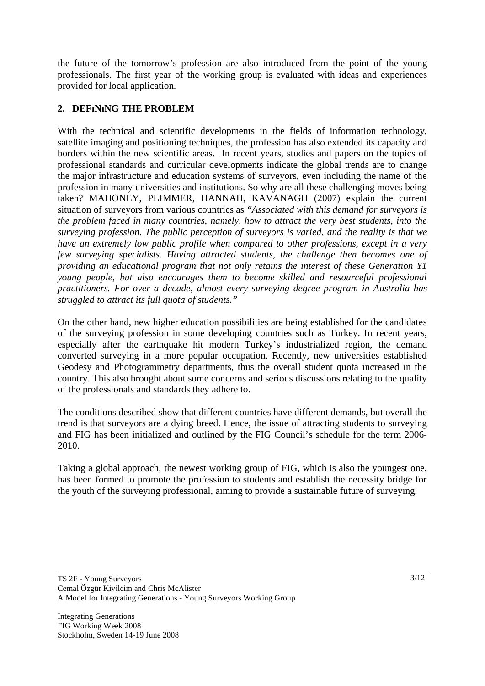the future of the tomorrow's profession are also introduced from the point of the young professionals. The first year of the working group is evaluated with ideas and experiences provided for local application.

# **2. DEFıNıNG THE PROBLEM**

With the technical and scientific developments in the fields of information technology, satellite imaging and positioning techniques, the profession has also extended its capacity and borders within the new scientific areas. In recent years, studies and papers on the topics of professional standards and curricular developments indicate the global trends are to change the major infrastructure and education systems of surveyors, even including the name of the profession in many universities and institutions. So why are all these challenging moves being taken? MAHONEY, PLIMMER, HANNAH, KAVANAGH (2007) explain the current situation of surveyors from various countries as *"Associated with this demand for surveyors is the problem faced in many countries, namely, how to attract the very best students, into the surveying profession. The public perception of surveyors is varied, and the reality is that we have an extremely low public profile when compared to other professions, except in a very few surveying specialists. Having attracted students, the challenge then becomes one of providing an educational program that not only retains the interest of these Generation Y1 young people, but also encourages them to become skilled and resourceful professional practitioners. For over a decade, almost every surveying degree program in Australia has struggled to attract its full quota of students."* 

On the other hand, new higher education possibilities are being established for the candidates of the surveying profession in some developing countries such as Turkey. In recent years, especially after the earthquake hit modern Turkey's industrialized region, the demand converted surveying in a more popular occupation. Recently, new universities established Geodesy and Photogrammetry departments, thus the overall student quota increased in the country. This also brought about some concerns and serious discussions relating to the quality of the professionals and standards they adhere to.

The conditions described show that different countries have different demands, but overall the trend is that surveyors are a dying breed. Hence, the issue of attracting students to surveying and FIG has been initialized and outlined by the FIG Council's schedule for the term 2006- 2010.

Taking a global approach, the newest working group of FIG, which is also the youngest one, has been formed to promote the profession to students and establish the necessity bridge for the youth of the surveying professional, aiming to provide a sustainable future of surveying.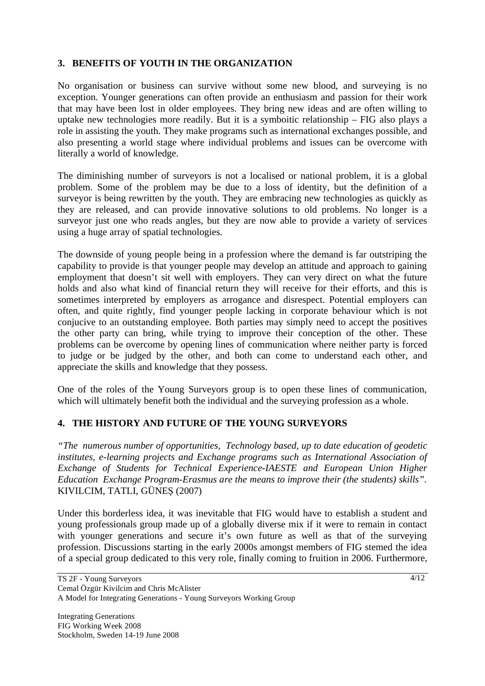### **3. BENEFITS OF YOUTH IN THE ORGANIZATION**

No organisation or business can survive without some new blood, and surveying is no exception. Younger generations can often provide an enthusiasm and passion for their work that may have been lost in older employees. They bring new ideas and are often willing to uptake new technologies more readily. But it is a symboitic relationship – FIG also plays a role in assisting the youth. They make programs such as international exchanges possible, and also presenting a world stage where individual problems and issues can be overcome with literally a world of knowledge.

The diminishing number of surveyors is not a localised or national problem, it is a global problem. Some of the problem may be due to a loss of identity, but the definition of a surveyor is being rewritten by the youth. They are embracing new technologies as quickly as they are released, and can provide innovative solutions to old problems. No longer is a surveyor just one who reads angles, but they are now able to provide a variety of services using a huge array of spatial technologies.

The downside of young people being in a profession where the demand is far outstriping the capability to provide is that younger people may develop an attitude and approach to gaining employment that doesn't sit well with employers. They can very direct on what the future holds and also what kind of financial return they will receive for their efforts, and this is sometimes interpreted by employers as arrogance and disrespect. Potential employers can often, and quite rightly, find younger people lacking in corporate behaviour which is not conjucive to an outstanding employee. Both parties may simply need to accept the positives the other party can bring, while trying to improve their conception of the other. These problems can be overcome by opening lines of communication where neither party is forced to judge or be judged by the other, and both can come to understand each other, and appreciate the skills and knowledge that they possess.

One of the roles of the Young Surveyors group is to open these lines of communication, which will ultimately benefit both the individual and the surveying profession as a whole.

### **4. THE HISTORY AND FUTURE OF THE YOUNG SURVEYORS**

*"The numerous number of opportunities, Technology based, up to date education of geodetic institutes, e-learning projects and Exchange programs such as International Association of Exchange of Students for Technical Experience-IAESTE and European Union Higher Education Exchange Program-Erasmus are the means to improve their (the students) skills"*. KIVILCIM, TATLI, GÜNES (2007)

Under this borderless idea, it was inevitable that FIG would have to establish a student and young professionals group made up of a globally diverse mix if it were to remain in contact with younger generations and secure it's own future as well as that of the surveying profession. Discussions starting in the early 2000s amongst members of FIG stemed the idea of a special group dedicated to this very role, finally coming to fruition in 2006. Furthermore,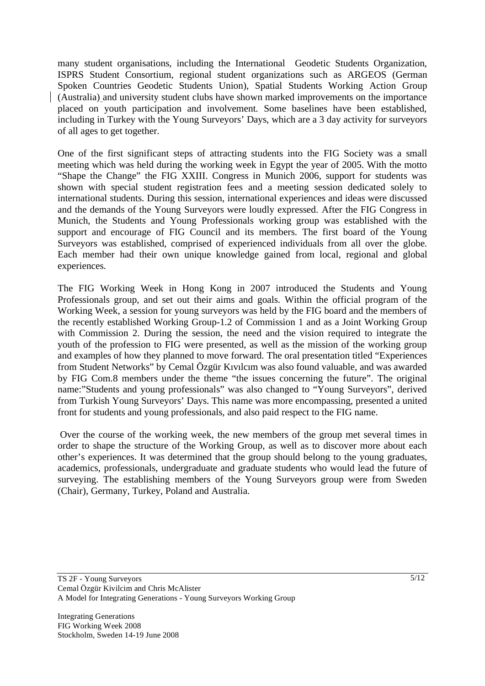many student organisations, including the International Geodetic Students Organization, ISPRS Student Consortium, regional student organizations such as ARGEOS (German Spoken Countries Geodetic Students Union), Spatial Students Working Action Group (Australia) and university student clubs have shown marked improvements on the importance placed on youth participation and involvement. Some baselines have been established, including in Turkey with the Young Surveyors' Days, which are a 3 day activity for surveyors of all ages to get together.

One of the first significant steps of attracting students into the FIG Society was a small meeting which was held during the working week in Egypt the year of 2005. With the motto "Shape the Change" the FIG XXIII. Congress in Munich 2006, support for students was shown with special student registration fees and a meeting session dedicated solely to international students. During this session, international experiences and ideas were discussed and the demands of the Young Surveyors were loudly expressed. After the FIG Congress in Munich, the Students and Young Professionals working group was established with the support and encourage of FIG Council and its members. The first board of the Young Surveyors was established, comprised of experienced individuals from all over the globe. Each member had their own unique knowledge gained from local, regional and global experiences.

The FIG Working Week in Hong Kong in 2007 introduced the Students and Young Professionals group, and set out their aims and goals. Within the official program of the Working Week, a session for young surveyors was held by the FIG board and the members of the recently established Working Group-1.2 of Commission 1 and as a Joint Working Group with Commission 2. During the session, the need and the vision required to integrate the youth of the profession to FIG were presented, as well as the mission of the working group and examples of how they planned to move forward. The oral presentation titled "Experiences from Student Networks" by Cemal Özgür Kıvılcım was also found valuable, and was awarded by FIG Com.8 members under the theme "the issues concerning the future". The original name:"Students and young professionals" was also changed to "Young Surveyors", derived from Turkish Young Surveyors' Days. This name was more encompassing, presented a united front for students and young professionals, and also paid respect to the FIG name.

 Over the course of the working week, the new members of the group met several times in order to shape the structure of the Working Group, as well as to discover more about each other's experiences. It was determined that the group should belong to the young graduates, academics, professionals, undergraduate and graduate students who would lead the future of surveying. The establishing members of the Young Surveyors group were from Sweden (Chair), Germany, Turkey, Poland and Australia.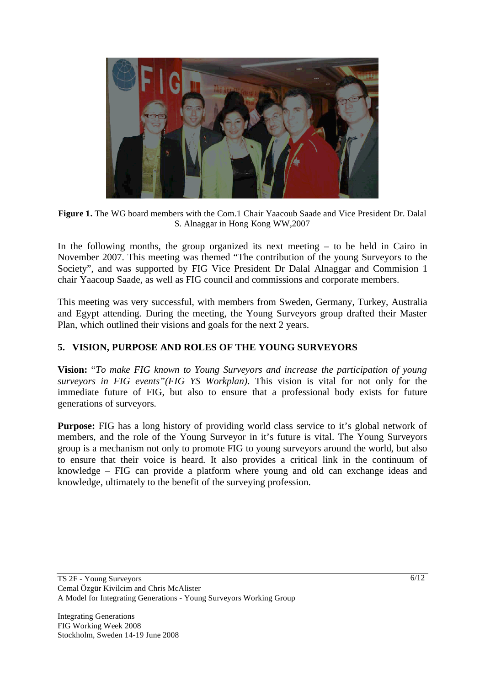

**Figure 1.** The WG board members with the Com.1 Chair Yaacoub Saade and Vice President Dr. Dalal S. Alnaggar in Hong Kong WW,2007

In the following months, the group organized its next meeting – to be held in Cairo in November 2007. This meeting was themed "The contribution of the young Surveyors to the Society", and was supported by FIG Vice President Dr Dalal Alnaggar and Commision 1 chair Yaacoup Saade, as well as FIG council and commissions and corporate members.

This meeting was very successful, with members from Sweden, Germany, Turkey, Australia and Egypt attending. During the meeting, the Young Surveyors group drafted their Master Plan, which outlined their visions and goals for the next 2 years.

# **5. VISION, PURPOSE AND ROLES OF THE YOUNG SURVEYORS**

**Vision:** "*To make FIG known to Young Surveyors and increase the participation of young surveyors in FIG events"(FIG YS Workplan)*. This vision is vital for not only for the immediate future of FIG, but also to ensure that a professional body exists for future generations of surveyors.

**Purpose:** FIG has a long history of providing world class service to it's global network of members, and the role of the Young Surveyor in it's future is vital. The Young Surveyors group is a mechanism not only to promote FIG to young surveyors around the world, but also to ensure that their voice is heard. It also provides a critical link in the continuum of knowledge – FIG can provide a platform where young and old can exchange ideas and knowledge, ultimately to the benefit of the surveying profession.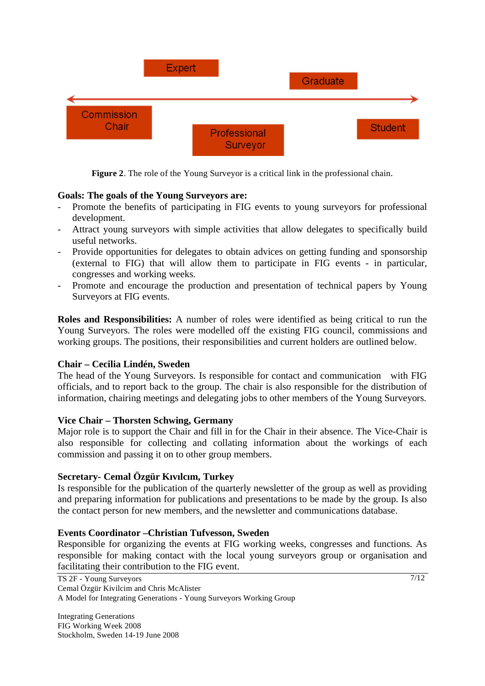

**Figure 2**. The role of the Young Surveyor is a critical link in the professional chain.

### **Goals: The goals of the Young Surveyors are:**

- Promote the benefits of participating in FIG events to young surveyors for professional development.
- Attract young surveyors with simple activities that allow delegates to specifically build useful networks.
- Provide opportunities for delegates to obtain advices on getting funding and sponsorship (external to FIG) that will allow them to participate in FIG events - in particular, congresses and working weeks.
- Promote and encourage the production and presentation of technical papers by Young Surveyors at FIG events.

**Roles and Responsibilities:** A number of roles were identified as being critical to run the Young Surveyors. The roles were modelled off the existing FIG council, commissions and working groups. The positions, their responsibilities and current holders are outlined below.

### **Chair – Cecilia Lindén, Sweden**

The head of the Young Surveyors. Is responsible for contact and communication with FIG officials, and to report back to the group. The chair is also responsible for the distribution of information, chairing meetings and delegating jobs to other members of the Young Surveyors.

#### **Vice Chair – Thorsten Schwing, Germany**

Major role is to support the Chair and fill in for the Chair in their absence. The Vice-Chair is also responsible for collecting and collating information about the workings of each commission and passing it on to other group members.

### **Secretary- Cemal Özgür Kıvılcım, Turkey**

Is responsible for the publication of the quarterly newsletter of the group as well as providing and preparing information for publications and presentations to be made by the group. Is also the contact person for new members, and the newsletter and communications database.

#### **Events Coordinator –Christian Tufvesson, Sweden**

Responsible for organizing the events at FIG working weeks, congresses and functions. As responsible for making contact with the local young surveyors group or organisation and facilitating their contribution to the FIG event.

TS 2F - Young Surveyors Cemal Özgür Kivilcim and Chris McAlister A Model for Integrating Generations - Young Surveyors Working Group

Integrating Generations FIG Working Week 2008 Stockholm, Sweden 14-19 June 2008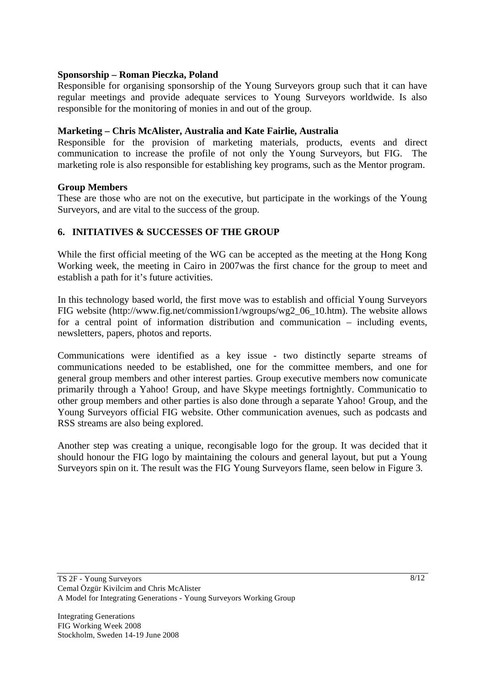### **Sponsorship – Roman Pieczka, Poland**

Responsible for organising sponsorship of the Young Surveyors group such that it can have regular meetings and provide adequate services to Young Surveyors worldwide. Is also responsible for the monitoring of monies in and out of the group.

### **Marketing – Chris McAlister, Australia and Kate Fairlie, Australia**

Responsible for the provision of marketing materials, products, events and direct communication to increase the profile of not only the Young Surveyors, but FIG. The marketing role is also responsible for establishing key programs, such as the Mentor program.

#### **Group Members**

These are those who are not on the executive, but participate in the workings of the Young Surveyors, and are vital to the success of the group.

### **6. INITIATIVES & SUCCESSES OF THE GROUP**

While the first official meeting of the WG can be accepted as the meeting at the Hong Kong Working week, the meeting in Cairo in 2007was the first chance for the group to meet and establish a path for it's future activities.

In this technology based world, the first move was to establish and official Young Surveyors FIG website (http://www.fig.net/commission1/wgroups/wg2\_06\_10.htm). The website allows for a central point of information distribution and communication – including events, newsletters, papers, photos and reports.

Communications were identified as a key issue - two distinctly separte streams of communications needed to be established, one for the committee members, and one for general group members and other interest parties. Group executive members now comunicate primarily through a Yahoo! Group, and have Skype meetings fortnightly. Communicatio to other group members and other parties is also done through a separate Yahoo! Group, and the Young Surveyors official FIG website. Other communication avenues, such as podcasts and RSS streams are also being explored.

Another step was creating a unique, recongisable logo for the group. It was decided that it should honour the FIG logo by maintaining the colours and general layout, but put a Young Surveyors spin on it. The result was the FIG Young Surveyors flame, seen below in Figure 3.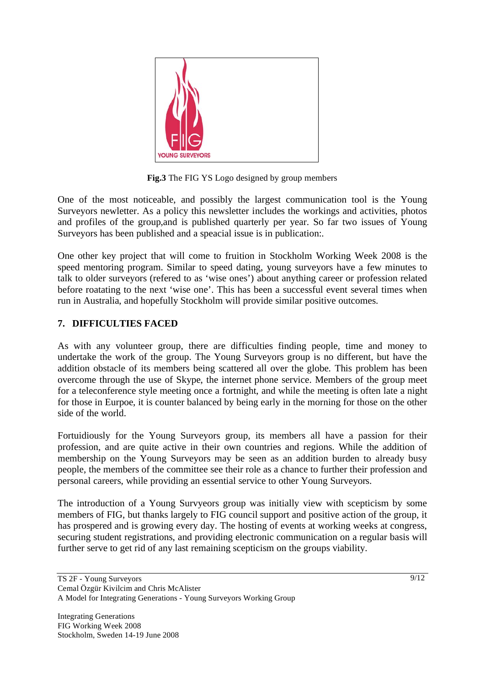

**Fig.3** The FIG YS Logo designed by group members

One of the most noticeable, and possibly the largest communication tool is the Young Surveyors newletter. As a policy this newsletter includes the workings and activities, photos and profiles of the group,and is published quarterly per year. So far two issues of Young Surveyors has been published and a speacial issue is in publication:.

One other key project that will come to fruition in Stockholm Working Week 2008 is the speed mentoring program. Similar to speed dating, young surveyors have a few minutes to talk to older surveyors (refered to as 'wise ones') about anything career or profession related before roatating to the next 'wise one'. This has been a successful event several times when run in Australia, and hopefully Stockholm will provide similar positive outcomes.

# **7. DIFFICULTIES FACED**

As with any volunteer group, there are difficulties finding people, time and money to undertake the work of the group. The Young Surveyors group is no different, but have the addition obstacle of its members being scattered all over the globe. This problem has been overcome through the use of Skype, the internet phone service. Members of the group meet for a teleconference style meeting once a fortnight, and while the meeting is often late a night for those in Eurpoe, it is counter balanced by being early in the morning for those on the other side of the world.

Fortuidiously for the Young Surveyors group, its members all have a passion for their profession, and are quite active in their own countries and regions. While the addition of membership on the Young Surveyors may be seen as an addition burden to already busy people, the members of the committee see their role as a chance to further their profession and personal careers, while providing an essential service to other Young Surveyors.

The introduction of a Young Survyeors group was initially view with scepticism by some members of FIG, but thanks largely to FIG council support and positive action of the group, it has prospered and is growing every day. The hosting of events at working weeks at congress, securing student registrations, and providing electronic communication on a regular basis will further serve to get rid of any last remaining scepticism on the groups viability.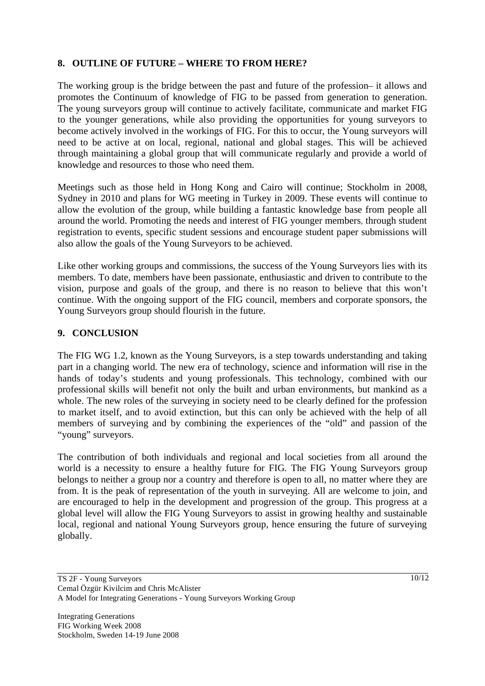# **8. OUTLINE OF FUTURE – WHERE TO FROM HERE?**

The working group is the bridge between the past and future of the profession– it allows and promotes the Continuum of knowledge of FIG to be passed from generation to generation. The young surveyors group will continue to actively facilitate, communicate and market FIG to the younger generations, while also providing the opportunities for young surveyors to become actively involved in the workings of FIG. For this to occur, the Young surveyors will need to be active at on local, regional, national and global stages. This will be achieved through maintaining a global group that will communicate regularly and provide a world of knowledge and resources to those who need them.

Meetings such as those held in Hong Kong and Cairo will continue; Stockholm in 2008, Sydney in 2010 and plans for WG meeting in Turkey in 2009. These events will continue to allow the evolution of the group, while building a fantastic knowledge base from people all around the world. Promoting the needs and interest of FIG younger members, through student registration to events, specific student sessions and encourage student paper submissions will also allow the goals of the Young Surveyors to be achieved.

Like other working groups and commissions, the success of the Young Surveyors lies with its members. To date, members have been passionate, enthusiastic and driven to contribute to the vision, purpose and goals of the group, and there is no reason to believe that this won't continue. With the ongoing support of the FIG council, members and corporate sponsors, the Young Surveyors group should flourish in the future.

# **9. CONCLUSION**

The FIG WG 1.2, known as the Young Surveyors, is a step towards understanding and taking part in a changing world. The new era of technology, science and information will rise in the hands of today's students and young professionals. This technology, combined with our professional skills will benefit not only the built and urban environments, but mankind as a whole. The new roles of the surveying in society need to be clearly defined for the profession to market itself, and to avoid extinction, but this can only be achieved with the help of all members of surveying and by combining the experiences of the "old" and passion of the "young" surveyors.

The contribution of both individuals and regional and local societies from all around the world is a necessity to ensure a healthy future for FIG. The FIG Young Surveyors group belongs to neither a group nor a country and therefore is open to all, no matter where they are from. It is the peak of representation of the youth in surveying. All are welcome to join, and are encouraged to help in the development and progression of the group. This progress at a global level will allow the FIG Young Surveyors to assist in growing healthy and sustainable local, regional and national Young Surveyors group, hence ensuring the future of surveying globally.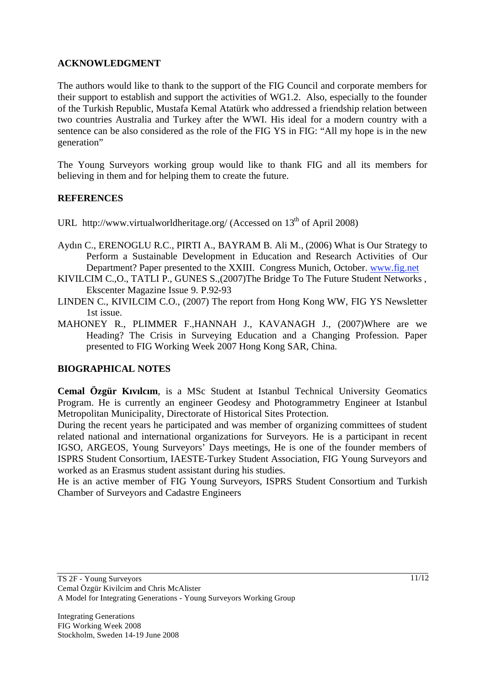# **ACKNOWLEDGMENT**

The authors would like to thank to the support of the FIG Council and corporate members for their support to establish and support the activities of WG1.2. Also, especially to the founder of the Turkish Republic, Mustafa Kemal Atatürk who addressed a friendship relation between two countries Australia and Turkey after the WWI. His ideal for a modern country with a sentence can be also considered as the role of the FIG YS in FIG: "All my hope is in the new generation"

The Young Surveyors working group would like to thank FIG and all its members for believing in them and for helping them to create the future.

# **REFERENCES**

- URL http://www.virtualworldheritage.org/ (Accessed on  $13<sup>th</sup>$  of April 2008)
- Aydın C., ERENOGLU R.C., PIRTI A., BAYRAM B. Ali M., (2006) What is Our Strategy to Perform a Sustainable Development in Education and Research Activities of Our Department? Paper presented to the XXIII. Congress Munich, October. www.fig.net
- KIVILCIM C.,O., TATLI P., GUNES S.,(2007)The Bridge To The Future Student Networks , Ekscenter Magazine Issue 9. P.92-93
- LINDEN C., KIVILCIM C.O., (2007) The report from Hong Kong WW, FIG YS Newsletter 1st issue.
- MAHONEY R., PLIMMER F.,HANNAH J., KAVANAGH J., (2007)Where are we Heading? The Crisis in Surveying Education and a Changing Profession. Paper presented to FIG Working Week 2007 Hong Kong SAR, China.

### **BIOGRAPHICAL NOTES**

**Cemal Özgür Kıvılcım**, is a MSc Student at Istanbul Technical University Geomatics Program. He is currently an engineer Geodesy and Photogrammetry Engineer at Istanbul Metropolitan Municipality, Directorate of Historical Sites Protection.

During the recent years he participated and was member of organizing committees of student related national and international organizations for Surveyors. He is a participant in recent IGSO, ARGEOS, Young Surveyors' Days meetings, He is one of the founder members of ISPRS Student Consortium, IAESTE-Turkey Student Association, FIG Young Surveyors and worked as an Erasmus student assistant during his studies.

He is an active member of FIG Young Surveyors, ISPRS Student Consortium and Turkish Chamber of Surveyors and Cadastre Engineers